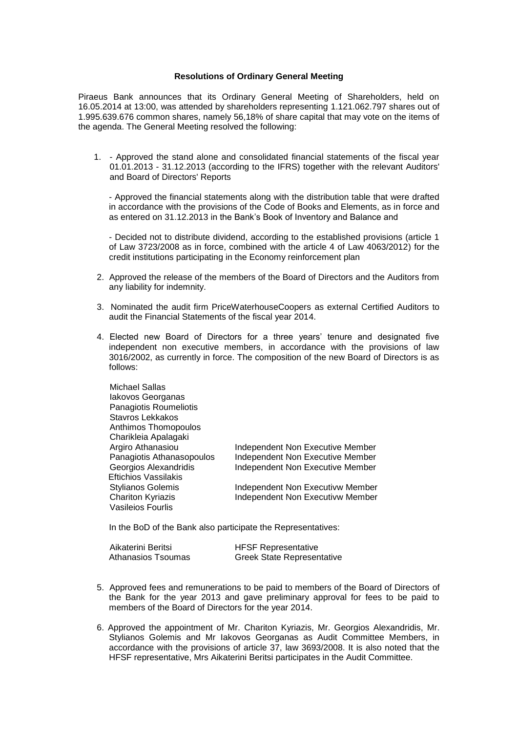## **Resolutions of Ordinary General Meeting**

Piraeus Bank announces that its Ordinary General Meeting of Shareholders, held on 16.05.2014 at 13:00, was attended by shareholders representing 1.121.062.797 shares out of 1.995.639.676 common shares, namely 56,18% of share capital that may vote on the items of the agenda. The General Meeting resolved the following:

1. - Approved the stand alone and consolidated financial statements of the fiscal year 01.01.2013 - 31.12.2013 (according to the IFRS) together with the relevant Auditors' and Board of Directors' Reports

- Approved the financial statements along with the distribution table that were drafted in accordance with the provisions of the Code of Books and Elements, as in force and as entered on 31.12.2013 in the Bank's Book of Inventory and Balance and

- Decided not to distribute dividend, according to the established provisions (article 1 of Law 3723/2008 as in force, combined with the article 4 of Law 4063/2012) for the credit institutions participating in the Economy reinforcement plan

- 2. Approved the release of the members of the Board of Directors and the Auditors from any liability for indemnity.
- 3. Nominated the audit firm PriceWaterhouseCoopers as external Certified Auditors to audit the Financial Statements of the fiscal year 2014.
- 4. Elected new Board of Directors for a three years' tenure and designated five independent non executive members, in accordance with the provisions of law 3016/2002, as currently in force. The composition of the new Board of Directors is as follows:

| <b>Michael Sallas</b>       |                                         |
|-----------------------------|-----------------------------------------|
| lakovos Georganas           |                                         |
| Panagiotis Roumeliotis      |                                         |
| Stavros Lekkakos            |                                         |
| Anthimos Thomopoulos        |                                         |
| Charikleia Apalagaki        |                                         |
| Argiro Athanasiou           | Independent Non Executive Member        |
| Panagiotis Athanasopoulos   | Independent Non Executive Member        |
| Georgios Alexandridis       | Independent Non Executive Member        |
| <b>Eftichios Vassilakis</b> |                                         |
| <b>Stylianos Golemis</b>    | Independent Non Executivw Member        |
| <b>Chariton Kyriazis</b>    | <b>Independent Non Executivw Member</b> |
| Vasileios Fourlis           |                                         |

In the BoD of the Bank also participate the Representatives:

| Aikaterini Beritsi | <b>HFSF Representative</b>        |
|--------------------|-----------------------------------|
| Athanasios Tsoumas | <b>Greek State Representative</b> |

- 5. Approved fees and remunerations to be paid to members of the Board of Directors of the Bank for the year 2013 and gave preliminary approval for fees to be paid to members of the Board of Directors for the year 2014.
- 6. Approved the appointment of Mr. Chariton Kyriazis, Mr. Georgios Alexandridis, Mr. Stylianos Golemis and Mr Iakovos Georganas as Audit Committee Members, in accordance with the provisions of article 37, law 3693/2008. It is also noted that the HFSF representative, Mrs Aikaterini Beritsi participates in the Audit Committee.